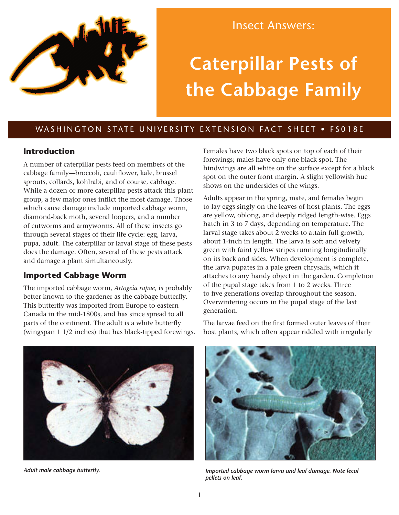

Insect Answers:

# **Caterpillar Pests of the Cabbage Family**

# WASHINGTON STATE UNIVERSITY EXTENSION FACT SHEET . FS018E

### **Introduction**

A number of caterpillar pests feed on members of the cabbage family—broccoli, cauliflower, kale, brussel sprouts, collards, kohlrabi, and of course, cabbage. While a dozen or more caterpillar pests attack this plant group, a few major ones inflict the most damage. Those which cause damage include imported cabbage worm, diamond-back moth, several loopers, and a number of cutworms and armyworms. All of these insects go through several stages of their life cycle: egg, larva, pupa, adult. The caterpillar or larval stage of these pests does the damage. Often, several of these pests attack and damage a plant simultaneously.

### **Imported Cabbage Worm**

The imported cabbage worm, *Artogeia rapae*, is probably better known to the gardener as the cabbage butterfly. This butterfly was imported from Europe to eastern Canada in the mid-1800s, and has since spread to all parts of the continent. The adult is a white butterfly (wingspan 1 1/2 inches) that has black-tipped forewings. Females have two black spots on top of each of their forewings; males have only one black spot. The hindwings are all white on the surface except for a black spot on the outer front margin. A slight yellowish hue shows on the undersides of the wings.

Adults appear in the spring, mate, and females begin to lay eggs singly on the leaves of host plants. The eggs are yellow, oblong, and deeply ridged length-wise. Eggs hatch in 3 to 7 days, depending on temperature. The larval stage takes about 2 weeks to attain full growth, about 1-inch in length. The larva is soft and velvety green with faint yellow stripes running longitudinally on its back and sides. When development is complete, the larva pupates in a pale green chrysalis, which it attaches to any handy object in the garden. Completion of the pupal stage takes from 1 to 2 weeks. Three to five generations overlap throughout the season. Overwintering occurs in the pupal stage of the last generation.

The larvae feed on the first formed outer leaves of their host plants, which often appear riddled with irregularly





*Adult male cabbage butterfly. Imported cabbage worm larva and leaf damage. Note fecal pellets on leaf.*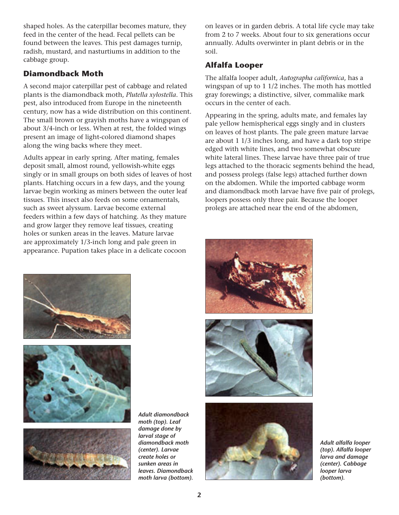shaped holes. As the caterpillar becomes mature, they feed in the center of the head. Fecal pellets can be found between the leaves. This pest damages turnip, radish, mustard, and nasturtiums in addition to the cabbage group.

## **Diamondback Moth**

A second major caterpillar pest of cabbage and related plants is the diamondback moth, *Plutella xylostella*. This pest, also introduced from Europe in the nineteenth century, now has a wide distribution on this continent. The small brown or grayish moths have a wingspan of about 3/4-inch or less. When at rest, the folded wings present an image of light-colored diamond shapes along the wing backs where they meet.

Adults appear in early spring. After mating, females deposit small, almost round, yellowish-white eggs singly or in small groups on both sides of leaves of host plants. Hatching occurs in a few days, and the young larvae begin working as miners between the outer leaf tissues. This insect also feeds on some ornamentals, such as sweet alyssum. Larvae become external feeders within a few days of hatching. As they mature and grow larger they remove leaf tissues, creating holes or sunken areas in the leaves. Mature larvae are approximately 1/3-inch long and pale green in appearance. Pupation takes place in a delicate cocoon

on leaves or in garden debris. A total life cycle may take from 2 to 7 weeks. About four to six generations occur annually. Adults overwinter in plant debris or in the soil.

# **Alfalfa Looper**

The alfalfa looper adult, *Autographa californica*, has a wingspan of up to 1 1/2 inches. The moth has mottled gray forewings; a distinctive, silver, commalike mark occurs in the center of each.

Appearing in the spring, adults mate, and females lay pale yellow hemispherical eggs singly and in clusters on leaves of host plants. The pale green mature larvae are about 1 1/3 inches long, and have a dark top stripe edged with white lines, and two somewhat obscure white lateral lines. These larvae have three pair of true legs attached to the thoracic segments behind the head, and possess prolegs (false legs) attached further down on the abdomen. While the imported cabbage worm and diamondback moth larvae have five pair of prolegs, loopers possess only three pair. Because the looper prolegs are attached near the end of the abdomen,







*Adult diamondback moth (top). Leaf damage done by larval stage of diamondback moth (center). Larvae create holes or sunken areas in leaves. Diamondback moth larva (bottom).*







*Adult alfalfa looper (top). Alfalfa looper larva and damage (center). Cabbage looper larva (bottom).*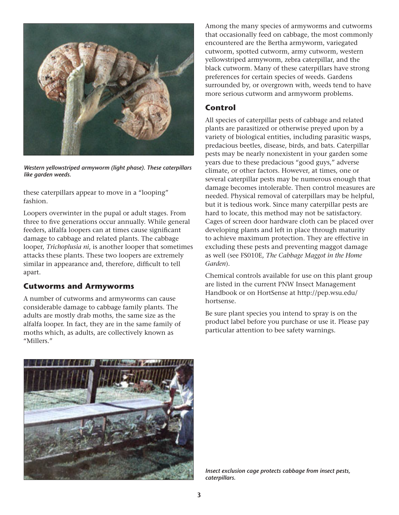

*Western yellowstriped armyworm (light phase). These caterpillars like garden weeds.*

these caterpillars appear to move in a "looping" fashion.

Loopers overwinter in the pupal or adult stages. From three to five generations occur annually. While general feeders, alfalfa loopers can at times cause significant damage to cabbage and related plants. The cabbage looper, *Trichoplusia ni*, is another looper that sometimes attacks these plants. These two loopers are extremely similar in appearance and, therefore, difficult to tell apart.

### **Cutworms and Armyworms**

A number of cutworms and armyworms can cause considerable damage to cabbage family plants. The adults are mostly drab moths, the same size as the alfalfa looper. In fact, they are in the same family of moths which, as adults, are collectively known as "Millers."

Among the many species of armyworms and cutworms that occasionally feed on cabbage, the most commonly encountered are the Bertha armyworm, variegated cutworm, spotted cutworm, army cutworm, western yellowstriped armyworm, zebra caterpillar, and the black cutworm. Many of these caterpillars have strong preferences for certain species of weeds. Gardens surrounded by, or overgrown with, weeds tend to have more serious cutworm and armyworm problems.

## **Control**

All species of caterpillar pests of cabbage and related plants are parasitized or otherwise preyed upon by a variety of biological entities, including parasitic wasps, predacious beetles, disease, birds, and bats. Caterpillar pests may be nearly nonexistent in your garden some years due to these predacious "good guys," adverse climate, or other factors. However, at times, one or several caterpillar pests may be numerous enough that damage becomes intolerable. Then control measures are needed. Physical removal of caterpillars may be helpful, but it is tedious work. Since many caterpillar pests are hard to locate, this method may not be satisfactory. Cages of screen door hardware cloth can be placed over developing plants and left in place through maturity to achieve maximum protection. They are effective in excluding these pests and preventing maggot damage as well (see FS010E, *The Cabbage Maggot in the Home Garden*).

Chemical controls available for use on this plant group are listed in the current PNW Insect Management Handbook or on HortSense at [http://pep.wsu.edu/](http://pep.wsu.edu/hortsense) [hortsense.](http://pep.wsu.edu/hortsense)

Be sure plant species you intend to spray is on the product label before you purchase or use it. Please pay particular attention to bee safety warnings.



*Insect exclusion cage protects cabbage from insect pests, caterpillars.*